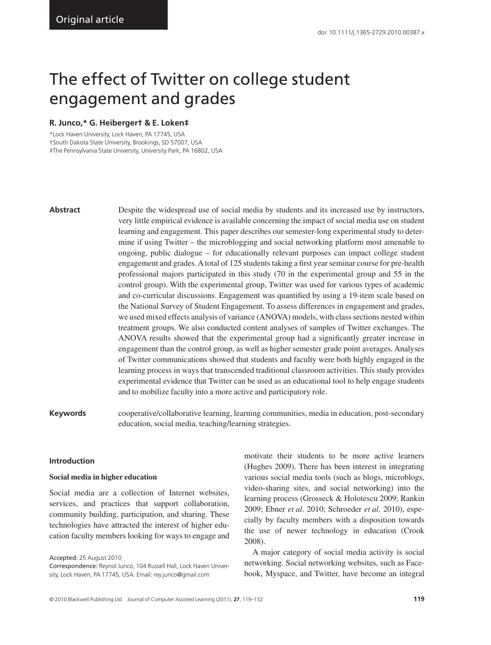# The effect of Twitter on college student engagement and grades

# **R. Junco,\* G. Heiberger† & E. Loken‡**

\*Lock Haven University, Lock Haven, PA 17745, USA †South Dakota State University, Brookings, SD 57007, USA ‡The Pennsylvania State University, University Park, PA 16802, USA

**Abstract** Despite the widespread use of social media by students and its increased use by instructors, very little empirical evidence is available concerning the impact of social media use on student learning and engagement. This paper describes our semester-long experimental study to determine if using Twitter – the microblogging and social networking platform most amenable to ongoing, public dialogue – for educationally relevant purposes can impact college student engagement and grades. A total of 125 students taking a first year seminar course for pre-health professional majors participated in this study (70 in the experimental group and 55 in the control group). With the experimental group, Twitter was used for various types of academic and co-curricular discussions. Engagement was quantified by using a 19-item scale based on the National Survey of Student Engagement. To assess differences in engagement and grades, we used mixed effects analysis of variance (ANOVA) models, with class sections nested within treatment groups. We also conducted content analyses of samples of Twitter exchanges. The ANOVA results showed that the experimental group had a significantly greater increase in engagement than the control group, as well as higher semester grade point averages. Analyses of Twitter communications showed that students and faculty were both highly engaged in the learning process in ways that transcended traditional classroom activities. This study provides experimental evidence that Twitter can be used as an educational tool to help engage students and to mobilize faculty into a more active and participatory role.

**Keywords** cooperative/collaborative learning, learning communities, media in education, post-secondary education, social media, teaching/learning strategies.

# **Introduction**

### **Social media in higher education**

Social media are a collection of Internet websites, services, and practices that support collaboration, community building, participation, and sharing. These technologies have attracted the interest of higher education faculty members looking for ways to engage and

Accepted: 25 August 2010

motivate their students to be more active learners (Hughes 2009). There has been interest in integrating various social media tools (such as blogs, microblogs, video-sharing sites, and social networking) into the learning process (Grosseck & Holotescu 2009; Rankin 2009; Ebner *et al*. 2010; Schroeder *et al*. 2010), especially by faculty members with a disposition towards the use of newer technology in education (Crook 2008).

A major category of social media activity is social networking. Social networking websites, such as Facebook, Myspace, and Twitter, have become an integral

Correspondence: Reynol Junco, 104 Russell Hall, Lock Haven University, Lock Haven, PA 17745, USA. Email: rey.junco@gmail.com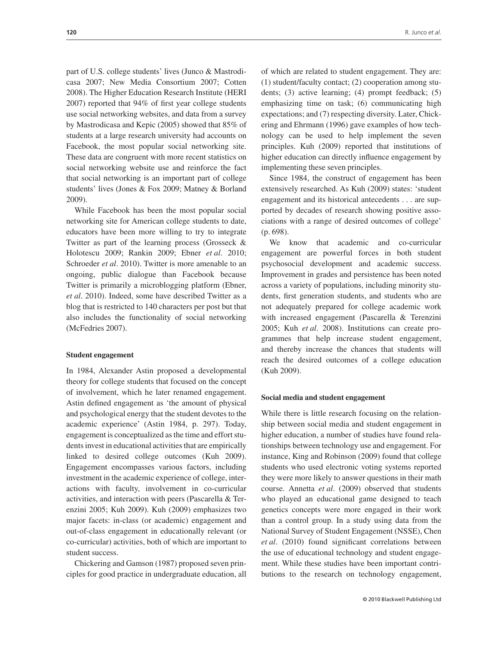part of U.S. college students' lives (Junco & Mastrodicasa 2007; New Media Consortium 2007; Cotten 2008). The Higher Education Research Institute (HERI 2007) reported that 94% of first year college students use social networking websites, and data from a survey by Mastrodicasa and Kepic (2005) showed that 85% of students at a large research university had accounts on Facebook, the most popular social networking site. These data are congruent with more recent statistics on social networking website use and reinforce the fact that social networking is an important part of college students' lives (Jones & Fox 2009; Matney & Borland 2009).

While Facebook has been the most popular social networking site for American college students to date, educators have been more willing to try to integrate Twitter as part of the learning process (Grosseck & Holotescu 2009; Rankin 2009; Ebner *et al*. 2010; Schroeder *et al.* 2010). Twitter is more amenable to an ongoing, public dialogue than Facebook because Twitter is primarily a microblogging platform (Ebner, *et al*. 2010). Indeed, some have described Twitter as a blog that is restricted to 140 characters per post but that also includes the functionality of social networking (McFedries 2007).

#### **Student engagement**

In 1984, Alexander Astin proposed a developmental theory for college students that focused on the concept of involvement, which he later renamed engagement. Astin defined engagement as 'the amount of physical and psychological energy that the student devotes to the academic experience' (Astin 1984, p. 297). Today, engagement is conceptualized as the time and effort students invest in educational activities that are empirically linked to desired college outcomes (Kuh 2009). Engagement encompasses various factors, including investment in the academic experience of college, interactions with faculty, involvement in co-curricular activities, and interaction with peers (Pascarella & Terenzini 2005; Kuh 2009). Kuh (2009) emphasizes two major facets: in-class (or academic) engagement and out-of-class engagement in educationally relevant (or co-curricular) activities, both of which are important to student success.

Chickering and Gamson (1987) proposed seven principles for good practice in undergraduate education, all of which are related to student engagement. They are: (1) student/faculty contact; (2) cooperation among students; (3) active learning; (4) prompt feedback; (5) emphasizing time on task; (6) communicating high expectations; and (7) respecting diversity. Later, Chickering and Ehrmann (1996) gave examples of how technology can be used to help implement the seven principles. Kuh (2009) reported that institutions of higher education can directly influence engagement by implementing these seven principles.

Since 1984, the construct of engagement has been extensively researched. As Kuh (2009) states: 'student engagement and its historical antecedents . . . are supported by decades of research showing positive associations with a range of desired outcomes of college' (p. 698).

We know that academic and co-curricular engagement are powerful forces in both student psychosocial development and academic success. Improvement in grades and persistence has been noted across a variety of populations, including minority students, first generation students, and students who are not adequately prepared for college academic work with increased engagement (Pascarella & Terenzini 2005; Kuh *et al*. 2008). Institutions can create programmes that help increase student engagement, and thereby increase the chances that students will reach the desired outcomes of a college education (Kuh 2009).

#### **Social media and student engagement**

While there is little research focusing on the relationship between social media and student engagement in higher education, a number of studies have found relationships between technology use and engagement. For instance, King and Robinson (2009) found that college students who used electronic voting systems reported they were more likely to answer questions in their math course. Annetta *et al*. (2009) observed that students who played an educational game designed to teach genetics concepts were more engaged in their work than a control group. In a study using data from the National Survey of Student Engagement (NSSE), Chen *et al*. (2010) found significant correlations between the use of educational technology and student engagement. While these studies have been important contributions to the research on technology engagement,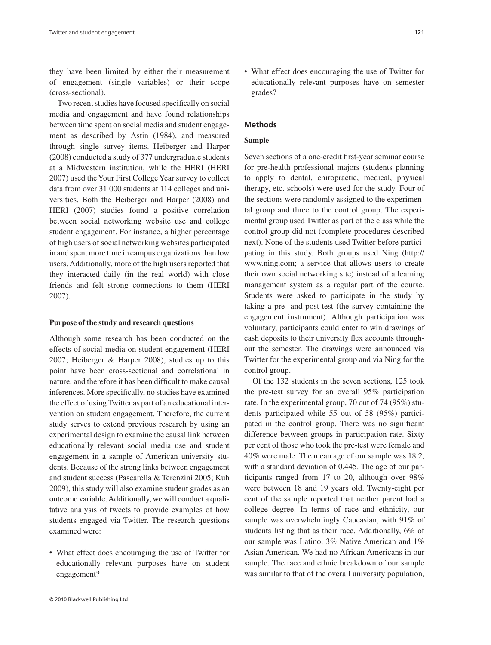they have been limited by either their measurement of engagement (single variables) or their scope (cross-sectional).

Two recent studies have focused specifically on social media and engagement and have found relationships between time spent on social media and student engagement as described by Astin (1984), and measured through single survey items. Heiberger and Harper (2008) conducted a study of 377 undergraduate students at a Midwestern institution, while the HERI (HERI 2007) used the Your First College Year survey to collect data from over 31 000 students at 114 colleges and universities. Both the Heiberger and Harper (2008) and HERI (2007) studies found a positive correlation between social networking website use and college student engagement. For instance, a higher percentage of high users of social networking websites participated in and spent more time in campus organizations than low users. Additionally, more of the high users reported that they interacted daily (in the real world) with close friends and felt strong connections to them (HERI 2007).

#### **Purpose of the study and research questions**

Although some research has been conducted on the effects of social media on student engagement (HERI 2007; Heiberger & Harper 2008), studies up to this point have been cross-sectional and correlational in nature, and therefore it has been difficult to make causal inferences. More specifically, no studies have examined the effect of using Twitter as part of an educational intervention on student engagement. Therefore, the current study serves to extend previous research by using an experimental design to examine the causal link between educationally relevant social media use and student engagement in a sample of American university students. Because of the strong links between engagement and student success (Pascarella & Terenzini 2005; Kuh 2009), this study will also examine student grades as an outcome variable.Additionally, we will conduct a qualitative analysis of tweets to provide examples of how students engaged via Twitter. The research questions examined were:

• What effect does encouraging the use of Twitter for educationally relevant purposes have on student engagement?

• What effect does encouraging the use of Twitter for educationally relevant purposes have on semester grades?

# **Methods**

# **Sample**

Seven sections of a one-credit first-year seminar course for pre-health professional majors (students planning to apply to dental, chiropractic, medical, physical therapy, etc. schools) were used for the study. Four of the sections were randomly assigned to the experimental group and three to the control group. The experimental group used Twitter as part of the class while the control group did not (complete procedures described next). None of the students used Twitter before participating in this study. Both groups used Ning (http:// www.ning.com; a service that allows users to create their own social networking site) instead of a learning management system as a regular part of the course. Students were asked to participate in the study by taking a pre- and post-test (the survey containing the engagement instrument). Although participation was voluntary, participants could enter to win drawings of cash deposits to their university flex accounts throughout the semester. The drawings were announced via Twitter for the experimental group and via Ning for the control group.

Of the 132 students in the seven sections, 125 took the pre-test survey for an overall 95% participation rate. In the experimental group, 70 out of 74 (95%) students participated while 55 out of 58 (95%) participated in the control group. There was no significant difference between groups in participation rate. Sixty per cent of those who took the pre-test were female and 40% were male. The mean age of our sample was 18.2, with a standard deviation of 0.445. The age of our participants ranged from 17 to 20, although over 98% were between 18 and 19 years old. Twenty-eight per cent of the sample reported that neither parent had a college degree. In terms of race and ethnicity, our sample was overwhelmingly Caucasian, with 91% of students listing that as their race. Additionally, 6% of our sample was Latino, 3% Native American and 1% Asian American. We had no African Americans in our sample. The race and ethnic breakdown of our sample was similar to that of the overall university population,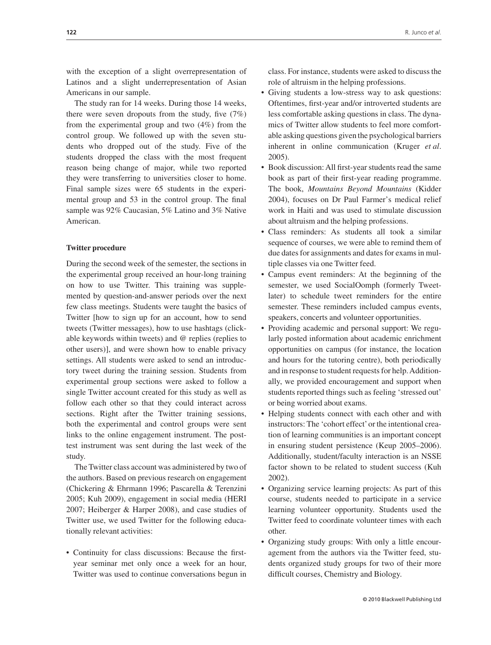with the exception of a slight overrepresentation of Latinos and a slight underrepresentation of Asian Americans in our sample.

The study ran for 14 weeks. During those 14 weeks, there were seven dropouts from the study, five (7%) from the experimental group and two (4%) from the control group. We followed up with the seven students who dropped out of the study. Five of the students dropped the class with the most frequent reason being change of major, while two reported they were transferring to universities closer to home. Final sample sizes were 65 students in the experimental group and 53 in the control group. The final sample was 92% Caucasian, 5% Latino and 3% Native American.

## **Twitter procedure**

During the second week of the semester, the sections in the experimental group received an hour-long training on how to use Twitter. This training was supplemented by question-and-answer periods over the next few class meetings. Students were taught the basics of Twitter [how to sign up for an account, how to send tweets (Twitter messages), how to use hashtags (clickable keywords within tweets) and @ replies (replies to other users)], and were shown how to enable privacy settings. All students were asked to send an introductory tweet during the training session. Students from experimental group sections were asked to follow a single Twitter account created for this study as well as follow each other so that they could interact across sections. Right after the Twitter training sessions, both the experimental and control groups were sent links to the online engagement instrument. The posttest instrument was sent during the last week of the study.

The Twitter class account was administered by two of the authors. Based on previous research on engagement (Chickering & Ehrmann 1996; Pascarella & Terenzini 2005; Kuh 2009), engagement in social media (HERI 2007; Heiberger & Harper 2008), and case studies of Twitter use, we used Twitter for the following educationally relevant activities:

• Continuity for class discussions: Because the firstyear seminar met only once a week for an hour, Twitter was used to continue conversations begun in class. For instance, students were asked to discuss the role of altruism in the helping professions.

- Giving students a low-stress way to ask questions: Oftentimes, first-year and/or introverted students are less comfortable asking questions in class. The dynamics of Twitter allow students to feel more comfortable asking questions given the psychological barriers inherent in online communication (Kruger *et al*. 2005).
- Book discussion: All first-year students read the same book as part of their first-year reading programme. The book, *Mountains Beyond Mountains* (Kidder 2004), focuses on Dr Paul Farmer's medical relief work in Haiti and was used to stimulate discussion about altruism and the helping professions.
- Class reminders: As students all took a similar sequence of courses, we were able to remind them of due dates for assignments and dates for exams in multiple classes via one Twitter feed.
- Campus event reminders: At the beginning of the semester, we used SocialOomph (formerly Tweetlater) to schedule tweet reminders for the entire semester. These reminders included campus events, speakers, concerts and volunteer opportunities.
- Providing academic and personal support: We regularly posted information about academic enrichment opportunities on campus (for instance, the location and hours for the tutoring centre), both periodically and in response to student requests for help.Additionally, we provided encouragement and support when students reported things such as feeling 'stressed out' or being worried about exams.
- Helping students connect with each other and with instructors: The 'cohort effect'or the intentional creation of learning communities is an important concept in ensuring student persistence (Keup 2005–2006). Additionally, student/faculty interaction is an NSSE factor shown to be related to student success (Kuh 2002).
- Organizing service learning projects: As part of this course, students needed to participate in a service learning volunteer opportunity. Students used the Twitter feed to coordinate volunteer times with each other.
- Organizing study groups: With only a little encouragement from the authors via the Twitter feed, students organized study groups for two of their more difficult courses, Chemistry and Biology.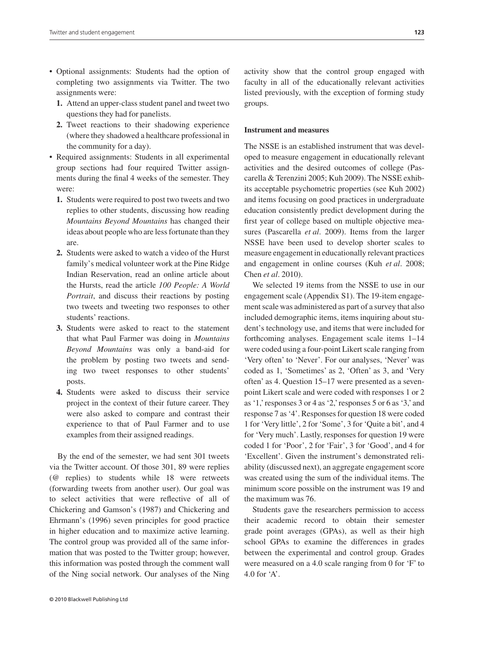- Optional assignments: Students had the option of completing two assignments via Twitter. The two assignments were:
	- **1.** Attend an upper-class student panel and tweet two questions they had for panelists.
	- **2.** Tweet reactions to their shadowing experience (where they shadowed a healthcare professional in the community for a day).
- Required assignments: Students in all experimental group sections had four required Twitter assignments during the final 4 weeks of the semester. They were:
	- **1.** Students were required to post two tweets and two replies to other students, discussing how reading *Mountains Beyond Mountains* has changed their ideas about people who are less fortunate than they are.
	- **2.** Students were asked to watch a video of the Hurst family's medical volunteer work at the Pine Ridge Indian Reservation, read an online article about the Hursts, read the article *100 People: A World Portrait*, and discuss their reactions by posting two tweets and tweeting two responses to other students' reactions.
	- **3.** Students were asked to react to the statement that what Paul Farmer was doing in *Mountains Beyond Mountains* was only a band-aid for the problem by posting two tweets and sending two tweet responses to other students' posts.
	- **4.** Students were asked to discuss their service project in the context of their future career. They were also asked to compare and contrast their experience to that of Paul Farmer and to use examples from their assigned readings.

By the end of the semester, we had sent 301 tweets via the Twitter account. Of those 301, 89 were replies (@ replies) to students while 18 were retweets (forwarding tweets from another user). Our goal was to select activities that were reflective of all of Chickering and Gamson's (1987) and Chickering and Ehrmann's (1996) seven principles for good practice in higher education and to maximize active learning. The control group was provided all of the same information that was posted to the Twitter group; however, this information was posted through the comment wall of the Ning social network. Our analyses of the Ning

© 2010 Blackwell Publishing Ltd

activity show that the control group engaged with faculty in all of the educationally relevant activities listed previously, with the exception of forming study groups.

### **Instrument and measures**

The NSSE is an established instrument that was developed to measure engagement in educationally relevant activities and the desired outcomes of college (Pascarella & Terenzini 2005; Kuh 2009). The NSSE exhibits acceptable psychometric properties (see Kuh 2002) and items focusing on good practices in undergraduate education consistently predict development during the first year of college based on multiple objective measures (Pascarella *et al*. 2009). Items from the larger NSSE have been used to develop shorter scales to measure engagement in educationally relevant practices and engagement in online courses (Kuh *et al*. 2008; Chen *et al*. 2010).

We selected 19 items from the NSSE to use in our engagement scale (Appendix S1). The 19-item engagement scale was administered as part of a survey that also included demographic items, items inquiring about student's technology use, and items that were included for forthcoming analyses. Engagement scale items 1–14 were coded using a four-point Likert scale ranging from 'Very often' to 'Never'. For our analyses, 'Never' was coded as 1, 'Sometimes' as 2, 'Often' as 3, and 'Very often' as 4. Question 15–17 were presented as a sevenpoint Likert scale and were coded with responses 1 or 2 as '1,'responses 3 or 4 as '2,'responses 5 or 6 as '3,'and response 7 as '4'. Responses for question 18 were coded 1 for 'Very little', 2 for 'Some', 3 for 'Quite a bit', and 4 for 'Very much'. Lastly, responses for question 19 were coded 1 for 'Poor', 2 for 'Fair', 3 for 'Good', and 4 for 'Excellent'. Given the instrument's demonstrated reliability (discussed next), an aggregate engagement score was created using the sum of the individual items. The minimum score possible on the instrument was 19 and the maximum was 76.

Students gave the researchers permission to access their academic record to obtain their semester grade point averages (GPAs), as well as their high school GPAs to examine the differences in grades between the experimental and control group. Grades were measured on a 4.0 scale ranging from 0 for 'F' to 4.0 for 'A'.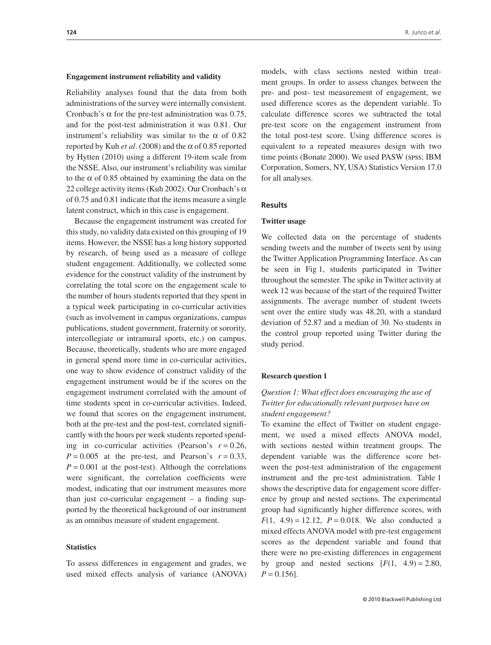#### **Engagement instrument reliability and validity**

Reliability analyses found that the data from both administrations of the survey were internally consistent. Cronbach's  $\alpha$  for the pre-test administration was 0.75, and for the post-test administration it was 0.81. Our instrument's reliability was similar to the  $\alpha$  of 0.82 reported by Kuh  $et$  al. (2008) and the  $\alpha$  of 0.85 reported by Hytten (2010) using a different 19-item scale from the NSSE. Also, our instrument's reliability was similar to the  $\alpha$  of 0.85 obtained by examining the data on the 22 college activity items (Kuh 2002). Our Cronbach's  $\alpha$ of 0.75 and 0.81 indicate that the items measure a single latent construct, which in this case is engagement.

Because the engagement instrument was created for this study, no validity data existed on this grouping of 19 items. However, the NSSE has a long history supported by research, of being used as a measure of college student engagement. Additionally, we collected some evidence for the construct validity of the instrument by correlating the total score on the engagement scale to the number of hours students reported that they spent in a typical week participating in co-curricular activities (such as involvement in campus organizations, campus publications, student government, fraternity or sorority, intercollegiate or intramural sports, etc.) on campus. Because, theoretically, students who are more engaged in general spend more time in co-curricular activities, one way to show evidence of construct validity of the engagement instrument would be if the scores on the engagement instrument correlated with the amount of time students spent in co-curricular activities. Indeed, we found that scores on the engagement instrument, both at the pre-test and the post-test, correlated significantly with the hours per week students reported spending in co-curricular activities (Pearson's  $r = 0.26$ ,  $P = 0.005$  at the pre-test, and Pearson's  $r = 0.33$ ,  $P = 0.001$  at the post-test). Although the correlations were significant, the correlation coefficients were modest, indicating that our instrument measures more than just co-curricular engagement – a finding supported by the theoretical background of our instrument as an omnibus measure of student engagement.

#### **Statistics**

To assess differences in engagement and grades, we used mixed effects analysis of variance (ANOVA) models, with class sections nested within treatment groups. In order to assess changes between the pre- and post- test measurement of engagement, we used difference scores as the dependent variable. To calculate difference scores we subtracted the total pre-test score on the engagement instrument from the total post-test score. Using difference scores is equivalent to a repeated measures design with two time points (Bonate 2000). We used PASW (spss; IBM Corporation, Somers, NY, USA) Statistics Version 17.0 for all analyses.

#### **Results**

#### **Twitter usage**

We collected data on the percentage of students sending tweets and the number of tweets sent by using the Twitter Application Programming Interface. As can be seen in Fig 1, students participated in Twitter throughout the semester. The spike in Twitter activity at week 12 was because of the start of the required Twitter assignments. The average number of student tweets sent over the entire study was 48.20, with a standard deviation of 52.87 and a median of 30. No students in the control group reported using Twitter during the study period.

### **Research question 1**

# *Question 1: What effect does encouraging the use of Twitter for educationally relevant purposes have on student engagement?*

To examine the effect of Twitter on student engagement, we used a mixed effects ANOVA model, with sections nested within treatment groups. The dependent variable was the difference score between the post-test administration of the engagement instrument and the pre-test administration. Table 1 shows the descriptive data for engagement score difference by group and nested sections. The experimental group had significantly higher difference scores, with  $F(1, 4.9) = 12.12, P = 0.018$ . We also conducted a mixed effects ANOVA model with pre-test engagement scores as the dependent variable and found that there were no pre-existing differences in engagement by group and nested sections  $[F(1, 4.9) = 2.80,$  $P = 0.156$ .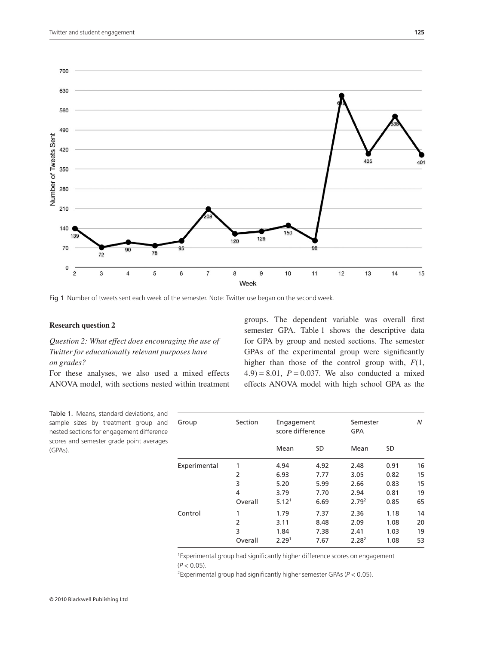

Fig 1 Number of tweets sent each week of the semester. Note: Twitter use began on the second week.

#### **Research question 2**

*Question 2: What effect does encouraging the use of Twitter for educationally relevant purposes have on grades?*

For these analyses, we also used a mixed effects ANOVA model, with sections nested within treatment groups. The dependent variable was overall first semester GPA. Table 1 shows the descriptive data for GPA by group and nested sections. The semester GPAs of the experimental group were significantly higher than those of the control group with, *F*(1,  $(4.9) = 8.01$ ,  $P = 0.037$ . We also conducted a mixed effects ANOVA model with high school GPA as the

Table 1. Means, standard deviations, and sample sizes by treatment group and nested sections for engagement difference scores and semester grade point averages (GPAs).

| Group        | Section | Engagement<br>score difference |      | Semester<br><b>GPA</b> |           | Ν  |
|--------------|---------|--------------------------------|------|------------------------|-----------|----|
|              |         | Mean                           | SD   | Mean                   | <b>SD</b> |    |
| Experimental | 1       | 4.94                           | 4.92 | 2.48                   | 0.91      | 16 |
|              | 2       | 6.93                           | 7.77 | 3.05                   | 0.82      | 15 |
|              | 3       | 5.20                           | 5.99 | 2.66                   | 0.83      | 15 |
|              | 4       | 3.79                           | 7.70 | 2.94                   | 0.81      | 19 |
|              | Overall | 5.12 <sup>1</sup>              | 6.69 | 2.79 <sup>2</sup>      | 0.85      | 65 |
| Control      | 1       | 1.79                           | 7.37 | 2.36                   | 1.18      | 14 |
|              | 2       | 3.11                           | 8.48 | 2.09                   | 1.08      | 20 |
|              | 3       | 1.84                           | 7.38 | 2.41                   | 1.03      | 19 |
|              | Overall | 2.29 <sup>1</sup>              | 7.67 | 2.28 <sup>2</sup>      | 1.08      | 53 |

1 Experimental group had significantly higher difference scores on engagement  $(P < 0.05)$ .

2 Experimental group had significantly higher semester GPAs (*P* < 0.05).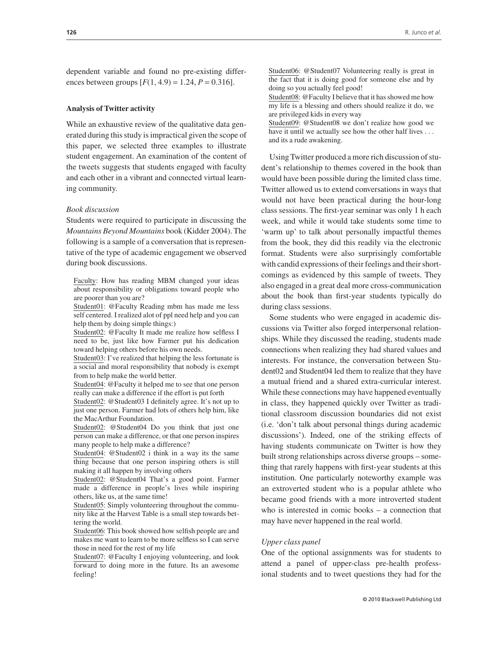dependent variable and found no pre-existing differences between groups  $[F(1, 4.9) = 1.24, P = 0.316]$ .

#### **Analysis of Twitter activity**

While an exhaustive review of the qualitative data generated during this study is impractical given the scope of this paper, we selected three examples to illustrate student engagement. An examination of the content of the tweets suggests that students engaged with faculty and each other in a vibrant and connected virtual learning community.

#### *Book discussion*

Students were required to participate in discussing the *Mountains Beyond Mountains* book (Kidder 2004). The following is a sample of a conversation that is representative of the type of academic engagement we observed during book discussions.

Faculty: How has reading MBM changed your ideas about responsibility or obligations toward people who are poorer than you are?

Student01: @Faculty Reading mbm has made me less self centered. I realized alot of ppl need help and you can help them by doing simple things:)

Student02: @Faculty It made me realize how selfless I need to be, just like how Farmer put his dedication toward helping others before his own needs.

Student03: I've realized that helping the less fortunate is a social and moral responsibility that nobody is exempt from to help make the world better.

Student04: @Faculty it helped me to see that one person really can make a difference if the effort is put forth

Student02: @Student03 I definitely agree. It's not up to just one person. Farmer had lots of others help him, like the MacArthur Foundation.

Student02: @Student04 Do you think that just one person can make a difference, or that one person inspires many people to help make a difference?

Student04: @Student02 i think in a way its the same thing because that one person inspiring others is still making it all happen by involving others

Student02: @Student04 That's a good point. Farmer made a difference in people's lives while inspiring others, like us, at the same time!

Student05: Simply volunteering throughout the community like at the Harvest Table is a small step towards bettering the world.

Student06: This book showed how selfish people are and makes me want to learn to be more selfless so I can serve those in need for the rest of my life

Student07: @Faculty I enjoying volunteering, and look forward to doing more in the future. Its an awesome feeling!

Student06: @Student07 Volunteering really is great in the fact that it is doing good for someone else and by doing so you actually feel good!

Student08: @Faculty I believe that it has showed me how my life is a blessing and others should realize it do, we are privileged kids in every way

Student09: @Student08 we don't realize how good we have it until we actually see how the other half lives ... and its a rude awakening.

Using Twitter produced a more rich discussion of student's relationship to themes covered in the book than would have been possible during the limited class time. Twitter allowed us to extend conversations in ways that would not have been practical during the hour-long class sessions. The first-year seminar was only 1 h each week, and while it would take students some time to 'warm up' to talk about personally impactful themes from the book, they did this readily via the electronic format. Students were also surprisingly comfortable with candid expressions of their feelings and their shortcomings as evidenced by this sample of tweets. They also engaged in a great deal more cross-communication about the book than first-year students typically do during class sessions.

Some students who were engaged in academic discussions via Twitter also forged interpersonal relationships. While they discussed the reading, students made connections when realizing they had shared values and interests. For instance, the conversation between Student02 and Student04 led them to realize that they have a mutual friend and a shared extra-curricular interest. While these connections may have happened eventually in class, they happened quickly over Twitter as traditional classroom discussion boundaries did not exist (i.e. 'don't talk about personal things during academic discussions'). Indeed, one of the striking effects of having students communicate on Twitter is how they built strong relationships across diverse groups – something that rarely happens with first-year students at this institution. One particularly noteworthy example was an extroverted student who is a popular athlete who became good friends with a more introverted student who is interested in comic books – a connection that may have never happened in the real world.

#### *Upper class panel*

One of the optional assignments was for students to attend a panel of upper-class pre-health professional students and to tweet questions they had for the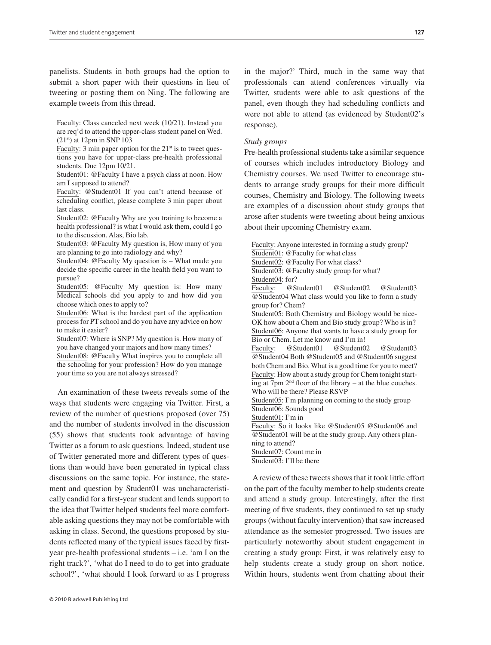panelists. Students in both groups had the option to submit a short paper with their questions in lieu of tweeting or posting them on Ning. The following are example tweets from this thread.

Faculty: Class canceled next week (10/21). Instead you are req'd to attend the upper-class student panel on Wed.  $(21<sup>st</sup>)$  at 12pm in SNP 103

Faculty: 3 min paper option for the  $21<sup>st</sup>$  is to tweet questions you have for upper-class pre-health professional students. Due 12pm 10/21.

Student01: @Faculty I have a psych class at noon. How am I supposed to attend?

Faculty: @Student01 If you can't attend because of scheduling conflict, please complete 3 min paper about last class.

Student02: @Faculty Why are you training to become a health professional? is what I would ask them, could I go to the discussion. Alas, Bio lab.

Student03: @Faculty My question is, How many of you are planning to go into radiology and why?

Student04: @Faculty My question is – What made you decide the specific career in the health field you want to pursue?

Student05: @Faculty My question is: How many Medical schools did you apply to and how did you choose which ones to apply to?

Student06: What is the hardest part of the application process for PT school and do you have any advice on how to make it easier?

Student07: Where is SNP? My question is. How many of you have changed your majors and how many times?

Student08: @Faculty What inspires you to complete all the schooling for your profession? How do you manage your time so you are not always stressed?

An examination of these tweets reveals some of the ways that students were engaging via Twitter. First, a review of the number of questions proposed (over 75) and the number of students involved in the discussion (55) shows that students took advantage of having Twitter as a forum to ask questions. Indeed, student use of Twitter generated more and different types of questions than would have been generated in typical class discussions on the same topic. For instance, the statement and question by Student01 was uncharacteristically candid for a first-year student and lends support to the idea that Twitter helped students feel more comfortable asking questions they may not be comfortable with asking in class. Second, the questions proposed by students reflected many of the typical issues faced by firstyear pre-health professional students – i.e. 'am I on the right track?', 'what do I need to do to get into graduate school?', 'what should I look forward to as I progress in the major?' Third, much in the same way that professionals can attend conferences virtually via Twitter, students were able to ask questions of the panel, even though they had scheduling conflicts and were not able to attend (as evidenced by Student02's response).

#### *Study groups*

Pre-health professional students take a similar sequence of courses which includes introductory Biology and Chemistry courses. We used Twitter to encourage students to arrange study groups for their more difficult courses, Chemistry and Biology. The following tweets are examples of a discussion about study groups that arose after students were tweeting about being anxious about their upcoming Chemistry exam.

Faculty: Anyone interested in forming a study group?

Student01: @Faculty for what class

Student02: @Faculty For what class?

Student03: @Faculty study group for what?

Student04: for?

Faculty: @Student01 @Student02 @Student03 @Student04 What class would you like to form a study group for? Chem?

Student05: Both Chemistry and Biology would be nice-OK how about a Chem and Bio study group? Who is in? Student06: Anyone that wants to have a study group for Bio or Chem. Let me know and I'm in!

Faculty: @Student01 @Student02 @Student03 @Student04 Both @Student05 and @Student06 suggest both Chem and Bio. What is a good time for you to meet? Faculty: How about a study group for Chem tonight starting at 7pm  $2<sup>nd</sup>$  floor of the library – at the blue couches. Who will be there? Please RSVP

Student05: I'm planning on coming to the study group Student06: Sounds good

Student01: I'm in

Faculty: So it looks like @Student05 @Student06 and @Student01 will be at the study group. Any others planning to attend?

Student07: Count me in

Student03: I'll be there

Areview of these tweets shows that it took little effort on the part of the faculty member to help students create and attend a study group. Interestingly, after the first meeting of five students, they continued to set up study groups (without faculty intervention) that saw increased attendance as the semester progressed. Two issues are particularly noteworthy about student engagement in creating a study group: First, it was relatively easy to help students create a study group on short notice. Within hours, students went from chatting about their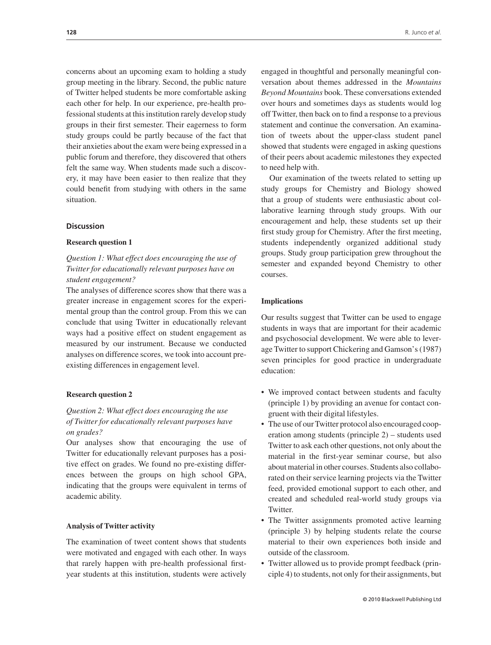concerns about an upcoming exam to holding a study group meeting in the library. Second, the public nature of Twitter helped students be more comfortable asking each other for help. In our experience, pre-health professional students at this institution rarely develop study groups in their first semester. Their eagerness to form study groups could be partly because of the fact that their anxieties about the exam were being expressed in a public forum and therefore, they discovered that others felt the same way. When students made such a discovery, it may have been easier to then realize that they could benefit from studying with others in the same situation.

#### **Discussion**

#### **Research question 1**

# *Question 1: What effect does encouraging the use of Twitter for educationally relevant purposes have on student engagement?*

The analyses of difference scores show that there was a greater increase in engagement scores for the experimental group than the control group. From this we can conclude that using Twitter in educationally relevant ways had a positive effect on student engagement as measured by our instrument. Because we conducted analyses on difference scores, we took into account preexisting differences in engagement level.

#### **Research question 2**

# *Question 2: What effect does encouraging the use of Twitter for educationally relevant purposes have on grades?*

Our analyses show that encouraging the use of Twitter for educationally relevant purposes has a positive effect on grades. We found no pre-existing differences between the groups on high school GPA, indicating that the groups were equivalent in terms of academic ability.

#### **Analysis of Twitter activity**

The examination of tweet content shows that students were motivated and engaged with each other. In ways that rarely happen with pre-health professional firstyear students at this institution, students were actively engaged in thoughtful and personally meaningful conversation about themes addressed in the *Mountains Beyond Mountains* book. These conversations extended over hours and sometimes days as students would log off Twitter, then back on to find a response to a previous statement and continue the conversation. An examination of tweets about the upper-class student panel showed that students were engaged in asking questions of their peers about academic milestones they expected to need help with.

Our examination of the tweets related to setting up study groups for Chemistry and Biology showed that a group of students were enthusiastic about collaborative learning through study groups. With our encouragement and help, these students set up their first study group for Chemistry. After the first meeting, students independently organized additional study groups. Study group participation grew throughout the semester and expanded beyond Chemistry to other courses.

#### **Implications**

Our results suggest that Twitter can be used to engage students in ways that are important for their academic and psychosocial development. We were able to leverage Twitter to support Chickering and Gamson's (1987) seven principles for good practice in undergraduate education:

- We improved contact between students and faculty (principle 1) by providing an avenue for contact congruent with their digital lifestyles.
- The use of our Twitter protocol also encouraged cooperation among students (principle 2) – students used Twitter to ask each other questions, not only about the material in the first-year seminar course, but also about material in other courses. Students also collaborated on their service learning projects via the Twitter feed, provided emotional support to each other, and created and scheduled real-world study groups via Twitter.
- The Twitter assignments promoted active learning (principle 3) by helping students relate the course material to their own experiences both inside and outside of the classroom.
- Twitter allowed us to provide prompt feedback (principle 4) to students, not only for their assignments, but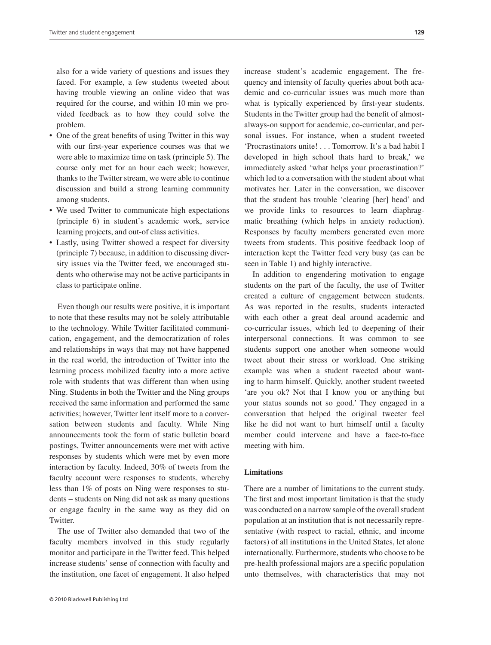also for a wide variety of questions and issues they faced. For example, a few students tweeted about having trouble viewing an online video that was required for the course, and within 10 min we provided feedback as to how they could solve the problem.

- One of the great benefits of using Twitter in this way with our first-year experience courses was that we were able to maximize time on task (principle 5). The course only met for an hour each week; however, thanks to the Twitter stream, we were able to continue discussion and build a strong learning community among students.
- We used Twitter to communicate high expectations (principle 6) in student's academic work, service learning projects, and out-of class activities.
- Lastly, using Twitter showed a respect for diversity (principle 7) because, in addition to discussing diversity issues via the Twitter feed, we encouraged students who otherwise may not be active participants in class to participate online.

Even though our results were positive, it is important to note that these results may not be solely attributable to the technology. While Twitter facilitated communication, engagement, and the democratization of roles and relationships in ways that may not have happened in the real world, the introduction of Twitter into the learning process mobilized faculty into a more active role with students that was different than when using Ning. Students in both the Twitter and the Ning groups received the same information and performed the same activities; however, Twitter lent itself more to a conversation between students and faculty. While Ning announcements took the form of static bulletin board postings, Twitter announcements were met with active responses by students which were met by even more interaction by faculty. Indeed, 30% of tweets from the faculty account were responses to students, whereby less than 1% of posts on Ning were responses to students – students on Ning did not ask as many questions or engage faculty in the same way as they did on Twitter.

The use of Twitter also demanded that two of the faculty members involved in this study regularly monitor and participate in the Twitter feed. This helped increase students' sense of connection with faculty and the institution, one facet of engagement. It also helped increase student's academic engagement. The frequency and intensity of faculty queries about both academic and co-curricular issues was much more than what is typically experienced by first-year students. Students in the Twitter group had the benefit of almostalways-on support for academic, co-curricular, and personal issues. For instance, when a student tweeted 'Procrastinators unite! . . . Tomorrow. It's a bad habit I developed in high school thats hard to break,' we immediately asked 'what helps your procrastination?' which led to a conversation with the student about what motivates her. Later in the conversation, we discover that the student has trouble 'clearing [her] head' and we provide links to resources to learn diaphragmatic breathing (which helps in anxiety reduction). Responses by faculty members generated even more tweets from students. This positive feedback loop of interaction kept the Twitter feed very busy (as can be seen in Table 1) and highly interactive.

In addition to engendering motivation to engage students on the part of the faculty, the use of Twitter created a culture of engagement between students. As was reported in the results, students interacted with each other a great deal around academic and co-curricular issues, which led to deepening of their interpersonal connections. It was common to see students support one another when someone would tweet about their stress or workload. One striking example was when a student tweeted about wanting to harm himself. Quickly, another student tweeted 'are you ok? Not that I know you or anything but your status sounds not so good.' They engaged in a conversation that helped the original tweeter feel like he did not want to hurt himself until a faculty member could intervene and have a face-to-face meeting with him.

### **Limitations**

There are a number of limitations to the current study. The first and most important limitation is that the study was conducted on a narrow sample of the overall student population at an institution that is not necessarily representative (with respect to racial, ethnic, and income factors) of all institutions in the United States, let alone internationally. Furthermore, students who choose to be pre-health professional majors are a specific population unto themselves, with characteristics that may not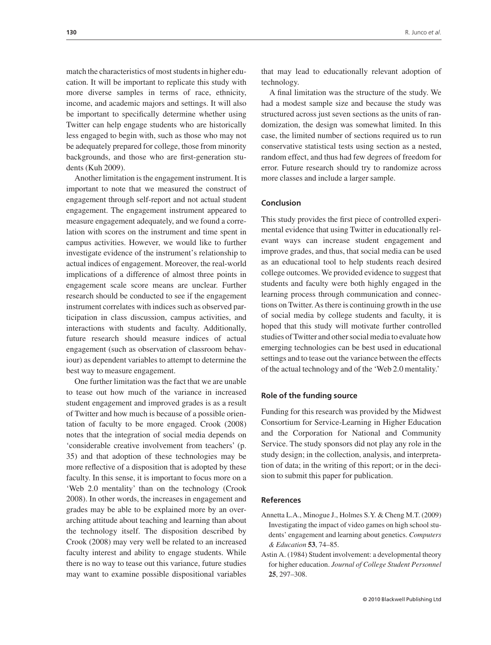match the characteristics of most students in higher education. It will be important to replicate this study with more diverse samples in terms of race, ethnicity, income, and academic majors and settings. It will also be important to specifically determine whether using Twitter can help engage students who are historically less engaged to begin with, such as those who may not be adequately prepared for college, those from minority backgrounds, and those who are first-generation students (Kuh 2009).

Another limitation is the engagement instrument. It is important to note that we measured the construct of engagement through self-report and not actual student engagement. The engagement instrument appeared to measure engagement adequately, and we found a correlation with scores on the instrument and time spent in campus activities. However, we would like to further investigate evidence of the instrument's relationship to actual indices of engagement. Moreover, the real-world implications of a difference of almost three points in engagement scale score means are unclear. Further research should be conducted to see if the engagement instrument correlates with indices such as observed participation in class discussion, campus activities, and interactions with students and faculty. Additionally, future research should measure indices of actual engagement (such as observation of classroom behaviour) as dependent variables to attempt to determine the best way to measure engagement.

One further limitation was the fact that we are unable to tease out how much of the variance in increased student engagement and improved grades is as a result of Twitter and how much is because of a possible orientation of faculty to be more engaged. Crook (2008) notes that the integration of social media depends on 'considerable creative involvement from teachers' (p. 35) and that adoption of these technologies may be more reflective of a disposition that is adopted by these faculty. In this sense, it is important to focus more on a 'Web 2.0 mentality' than on the technology (Crook 2008). In other words, the increases in engagement and grades may be able to be explained more by an overarching attitude about teaching and learning than about the technology itself. The disposition described by Crook (2008) may very well be related to an increased faculty interest and ability to engage students. While there is no way to tease out this variance, future studies may want to examine possible dispositional variables

that may lead to educationally relevant adoption of technology.

A final limitation was the structure of the study. We had a modest sample size and because the study was structured across just seven sections as the units of randomization, the design was somewhat limited. In this case, the limited number of sections required us to run conservative statistical tests using section as a nested, random effect, and thus had few degrees of freedom for error. Future research should try to randomize across more classes and include a larger sample.

# **Conclusion**

This study provides the first piece of controlled experimental evidence that using Twitter in educationally relevant ways can increase student engagement and improve grades, and thus, that social media can be used as an educational tool to help students reach desired college outcomes. We provided evidence to suggest that students and faculty were both highly engaged in the learning process through communication and connections on Twitter.As there is continuing growth in the use of social media by college students and faculty, it is hoped that this study will motivate further controlled studies of Twitter and other social media to evaluate how emerging technologies can be best used in educational settings and to tease out the variance between the effects of the actual technology and of the 'Web 2.0 mentality.'

### **Role of the funding source**

Funding for this research was provided by the Midwest Consortium for Service-Learning in Higher Education and the Corporation for National and Community Service. The study sponsors did not play any role in the study design; in the collection, analysis, and interpretation of data; in the writing of this report; or in the decision to submit this paper for publication.

#### **References**

- Annetta L.A., Minogue J., Holmes S.Y. & Cheng M.T. (2009) Investigating the impact of video games on high school students' engagement and learning about genetics. *Computers & Education* **53**, 74–85.
- Astin A. (1984) Student involvement: a developmental theory for higher education. *Journal of College Student Personnel* **25**, 297–308.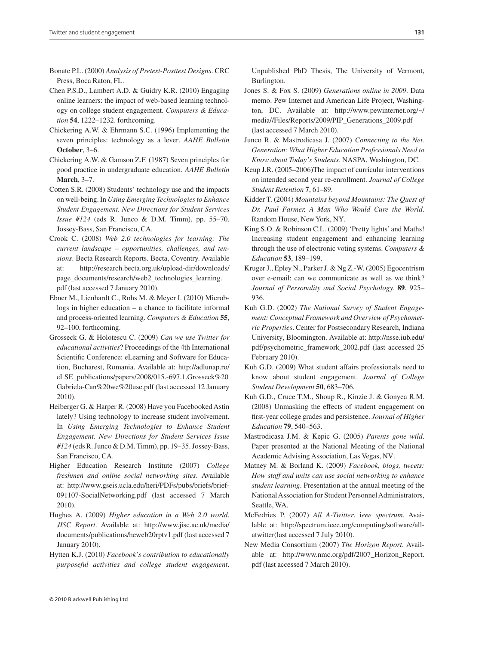- Bonate P.L. (2000) *Analysis of Pretest-Posttest Designs*. CRC Press, Boca Raton, FL.
- Chen P.S.D., Lambert A.D. & Guidry K.R. (2010) Engaging online learners: the impact of web-based learning technology on college student engagement. *Computers & Education* **54**, 1222–1232. forthcoming.
- Chickering A.W. & Ehrmann S.C. (1996) Implementing the seven principles: technology as a lever. *AAHE Bulletin* **October**, 3–6.
- Chickering A.W. & Gamson Z.F. (1987) Seven principles for good practice in undergraduate education. *AAHE Bulletin* **March**, 3–7.
- Cotten S.R. (2008) Students' technology use and the impacts on well-being. In *Using Emerging Technologies to Enhance Student Engagement. New Directions for Student Services Issue #124* (eds R. Junco & D.M. Timm), pp. 55–70. Jossey-Bass, San Francisco, CA.
- Crook C. (2008) *Web 2.0 technologies for learning: The current landscape – opportunities, challenges, and tensions*. Becta Research Reports. Becta, Coventry. Available at: http://research.becta.org.uk/upload-dir/downloads/ page\_documents/research/web2\_technologies\_learning. pdf (last accessed 7 January 2010).
- Ebner M., Lienhardt C., Rohs M. & Meyer I. (2010) Microblogs in higher education – a chance to facilitate informal and process-oriented learning. *Computers & Education* **55**, 92–100. forthcoming.
- Grosseck G. & Holotescu C. (2009) *Can we use Twitter for educational activities*? Proceedings of the 4th International Scientific Conference: eLearning and Software for Education, Bucharest, Romania. Available at: http://adlunap.ro/ eLSE\_publications/papers/2008/015.-697.1.Grosseck%20 Gabriela-Can%20we%20use.pdf (last accessed 12 January 2010).
- Heiberger G. & Harper R. (2008) Have you Facebooked Astin lately? Using technology to increase student involvement. In *Using Emerging Technologies to Enhance Student Engagement. New Directions for Student Services Issue #124* (eds R. Junco & D.M. Timm), pp. 19–35. Jossey-Bass, San Francisco, CA.
- Higher Education Research Institute (2007) *College freshmen and online social networking sites*. Available at: http://www.gseis.ucla.edu/heri/PDFs/pubs/briefs/brief-091107-SocialNetworking.pdf (last accessed 7 March 2010).
- Hughes A. (2009) *Higher education in a Web 2.0 world*. *JISC Report*. Available at: http://www.jisc.ac.uk/media/ documents/publications/heweb20rptv1.pdf (last accessed 7 January 2010).
- Hytten K.J. (2010) *Facebook's contribution to educationally purposeful activities and college student engagement*.

Unpublished PhD Thesis, The University of Vermont, Burlington.

- Jones S. & Fox S. (2009) *Generations online in 2009*. Data memo. Pew Internet and American Life Project, Washington, DC. Available at: http://www.pewinternet.org/~/ media//Files/Reports/2009/PIP\_Generations\_2009.pdf (last accessed 7 March 2010).
- Junco R. & Mastrodicasa J. (2007) *Connecting to the Net. Generation: What Higher Education Professionals Need to Know about Today's Students*. NASPA, Washington, DC.
- Keup J.R. (2005–2006)The impact of curricular interventions on intended second year re-enrollment. *Journal of College Student Retention* **7**, 61–89.
- Kidder T. (2004) *Mountains beyond Mountains: The Quest of Dr. Paul Farmer, A Man Who Would Cure the World*. Random House, NewYork, NY.
- King S.O. & Robinson C.L. (2009) 'Pretty lights' and Maths! Increasing student engagement and enhancing learning through the use of electronic voting systems. *Computers & Education* **53**, 189–199.
- Kruger J., Epley N., Parker J. & Ng Z.-W. (2005) Egocentrism over e-email: can we communicate as well as we think? *Journal of Personality and Social Psychology.* **89**, 925– 936.
- Kuh G.D. (2002) *The National Survey of Student Engagement: Conceptual Framework and Overview of Psychometric Properties*. Center for Postsecondary Research, Indiana University, Bloomington. Available at: http://nsse.iub.edu/ pdf/psychometric\_framework\_2002.pdf (last accessed 25 February 2010).
- Kuh G.D. (2009) What student affairs professionals need to know about student engagement. *Journal of College Student Development* **50**, 683–706.
- Kuh G.D., Cruce T.M., Shoup R., Kinzie J. & Gonyea R.M. (2008) Unmasking the effects of student engagement on first-year college grades and persistence. *Journal of Higher Education* **79**, 540–563.
- Mastrodicasa J.M. & Kepic G. (2005) *Parents gone wild*. Paper presented at the National Meeting of the National Academic Advising Association, Las Vegas, NV.
- Matney M. & Borland K. (2009) *Facebook, blogs, tweets: How staff and units can use social networking to enhance student learning*. Presentation at the annual meeting of the National Association for Student Personnel Administrators, Seattle, WA.
- McFedries P. (2007) *All A-Twitter*. i*eee spectrum*. Available at: http://spectrum.ieee.org/computing/software/allatwitter(last accessed 7 July 2010).
- New Media Consortium (2007) *The Horizon Report*. Available at: http://www.nmc.org/pdf/2007\_Horizon\_Report. pdf (last accessed 7 March 2010).